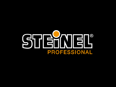# STEHNEL®  $\bigcirc$ PROFESSIONAL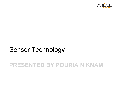

## Sensor Technology

## **PRESENTED BY POURIA NIKNAM**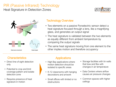#### PIR (Passive Infrared) Technology Heat Signature in Detection Zones





#### Technology Overview

- Two elements on a passive Pyroelectric sensor detect a heat signature focused through a lens, like a magnifying glass, and generates an output signal
- The heat signature is validated between the two elements as equally different from ambient temperature by comparing the output signals
- The same heat signature moving from one element to the other implies motion and therefore occupancy

#### **Characteristics Applications**

- Direct line of sight detection only
- Potential to crop and limit coverage pattern and isolate detection zone
- Requires presence of heat signature in motion

- High Bay applications where motion detection should be isolated to specific areas
- K-12 classrooms with hanging decorations and artwork
- Small offices with limited or no obstructions
- Storage facilities with tin walls that bow and flex with changes in air temperature
- Data Centers where airflow causes air pressure changes
- Common spaces with higher ceilings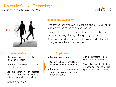### Ultrasonic Sensor Technology

Soundwaves All Around You





#### Technology Overview

- One transducer emits an ultrasonic signal at 15, 32 or 40 kHz, above the range of human hearing
- Changes to air pressure caused by motion of objects in the space change the signal frequency, the Doppler Effect
- A second transducer receives the signal and detects the changes from the emitted frequency

#### Characteristics **Applications**

- Ultrasonic waves fill the entire volume of the room
- Does not require line of site to the object in motion
- Sensitive to motion of any objects including doors and door knobs, but also decorations and airflow
- Detects minor motion

- Bathrooms with stalls
- Offices with partitions, filing cabinets or other obstructions
- Enclosed corridors where the sound waves don't leak into adjacent rooms
- Gym locker rooms to detect motion around corners
- Stairwells trigger the lights on when the door opens, before a person enters the space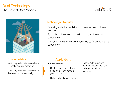#### Dual Technology The Best of Both Worlds





#### Technology Overview

- One single device contains both Infrared and Ultrasonic sensors
- Typically both sensors should be triggered to establish occupancy
- Detection by either sensor should be sufficient to maintain occupancy

#### Characteristics **Applications**

- Least likely to have false on due to PIR heat signature detection
- Least likely to have false off due to Ultrasonic motion sensitivity

- Private offices
- Conference rooms where people enter and remain generally still
- Higher education classrooms
- Teacher's lounges and common spaces with low ceilings and minimal movement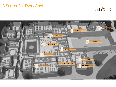### A Sensor For Every Application



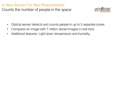### A New Sensor For New Requirements Counts the number of people in the space



- Optical sensor detects and counts people in up to 5 separate zones.
- Compares an image with 7 million stored images in real time.
- Additional features: Light level, temperature and humidity.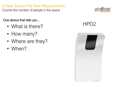A New Sensor For New Requirements Counts the number of people in the space

One device that tells you…

- What is there?
- How many?
- Where are they?
- When?



## HPD2

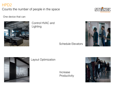#### HPD2

Counts the number of people in the space



One device that can



Control HVAC and Lighting

Schedule Elevators





#### Layout Optimization

Increase Productivity

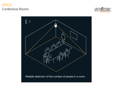#### HPD2 Conference Rooms



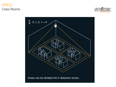#### HPD2 Class Rooms



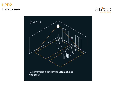#### HPD2 Elevator Area



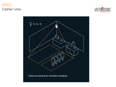#### HPD2 Cashier Lines